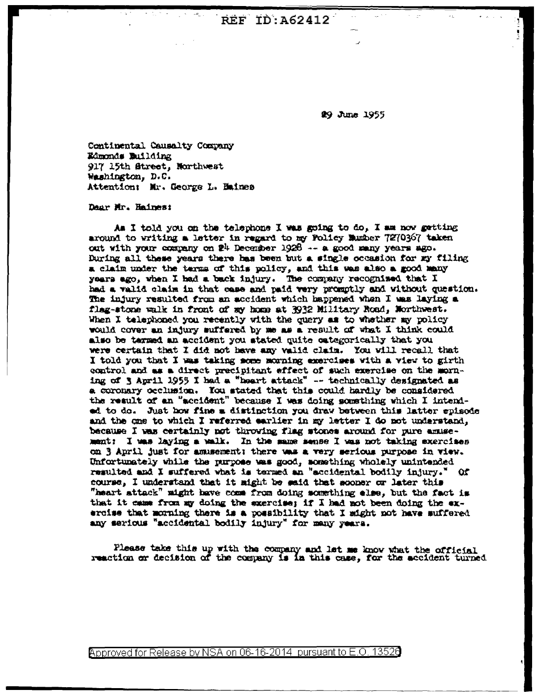**REF ID: A62412** 

29 June 1955

Continental Causalty Company Edmonds Building 917 15th Street, Northwest Washington, D.C. Attention: Mr. George L. Haines

## Dear Mr. Haines:

As I told you on the telephone I was going to do, I am now getting around to writing a letter in regard to my Folicy Mumber 7270367 taken out with your company on 24 December 1928 -- a good many years ago. During all these years there has been but a single occasion for my filing a claim under the terms of this policy, and this was also a good many years ago, when I had a back injury. The company recognized that I had a valid claim in that case and paid very promptly and without question. The injury resulted from an accident which happened when I was laying a flag-stone walk in front of my home at 3932 Military Road, Northwest. When I telephoned you recently with the query as to whether my policy would cover an injury suffered by me as a result of what I think could also be tarmed an accident you stated quite categorically that you were certain that I did not have any valid claim. You will recall that I told you that I was taking some morning exercises with a view to girth control and as a direct precipitant effect of such exercise on the morning of 3 April 1955 I had a "heart attack" -- technically designated as a coronary occlusion. You stated that this could hardly be considered the result of an "sccident" because I was doing something which I intended to do. Just how fine a distinction you draw between this latter spisode and the one to which I referred earlier in my letter I do not understand, because I was certainly not throwing flag stones around for pure amusement: I was laying a walk. In the same sense I was not taking exercises on 3 April just for amusement: there was a very serious purpose in view. Unfortunately while the purpose was good, something wholely unintended resulted and I suffered what is termed an "accidental bodily injury." Of course, I understand that it might be said that sooner or later this "heart attack" might have come from doing something else, but the fact is that it came from my doing the exercise; if I had not been doing the exercise that morning there is a possibility that I might not have suffered any serious "accidental bodily injury" for many years.

Please take this up with the company and let me know what the official reaction or decision of the company is in this case, for the accident turned

Approved for Release by NSA on 06-16-2014 pursuant to E.O. 13526